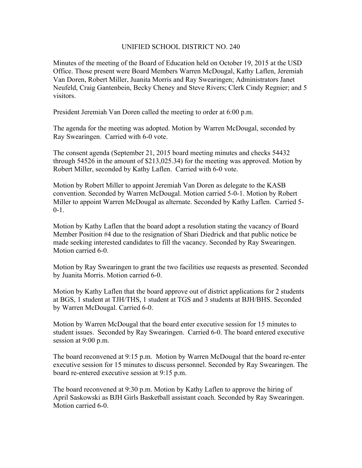## UNIFIED SCHOOL DISTRICT NO. 240

Minutes of the meeting of the Board of Education held on October 19, 2015 at the USD Office. Those present were Board Members Warren McDougal, Kathy Laflen, Jeremiah Van Doren, Robert Miller, Juanita Morris and Ray Swearingen; Administrators Janet Neufeld, Craig Gantenbein, Becky Cheney and Steve Rivers; Clerk Cindy Regnier; and 5 visitors.

President Jeremiah Van Doren called the meeting to order at 6:00 p.m.

The agenda for the meeting was adopted. Motion by Warren McDougal, seconded by Ray Swearingen. Carried with 6-0 vote.

The consent agenda (September 21, 2015 board meeting minutes and checks 54432 through 54526 in the amount of \$213,025.34) for the meeting was approved. Motion by Robert Miller, seconded by Kathy Laflen. Carried with 6-0 vote.

Motion by Robert Miller to appoint Jeremiah Van Doren as delegate to the KASB convention. Seconded by Warren McDougal. Motion carried 5-0-1. Motion by Robert Miller to appoint Warren McDougal as alternate. Seconded by Kathy Laflen. Carried 5-  $0 - 1$ .

Motion by Kathy Laflen that the board adopt a resolution stating the vacancy of Board Member Position #4 due to the resignation of Shari Diedrick and that public notice be made seeking interested candidates to fill the vacancy. Seconded by Ray Swearingen. Motion carried 6-0.

Motion by Ray Swearingen to grant the two facilities use requests as presented. Seconded by Juanita Morris. Motion carried 6-0.

Motion by Kathy Laflen that the board approve out of district applications for 2 students at BGS, 1 student at TJH/THS, 1 student at TGS and 3 students at BJH/BHS. Seconded by Warren McDougal. Carried 6-0.

Motion by Warren McDougal that the board enter executive session for 15 minutes to student issues. Seconded by Ray Swearingen. Carried 6-0. The board entered executive session at 9:00 p.m.

The board reconvened at 9:15 p.m. Motion by Warren McDougal that the board re-enter executive session for 15 minutes to discuss personnel. Seconded by Ray Swearingen. The board re-entered executive session at 9:15 p.m.

The board reconvened at 9:30 p.m. Motion by Kathy Laflen to approve the hiring of April Saskowski as BJH Girls Basketball assistant coach. Seconded by Ray Swearingen. Motion carried 6-0.